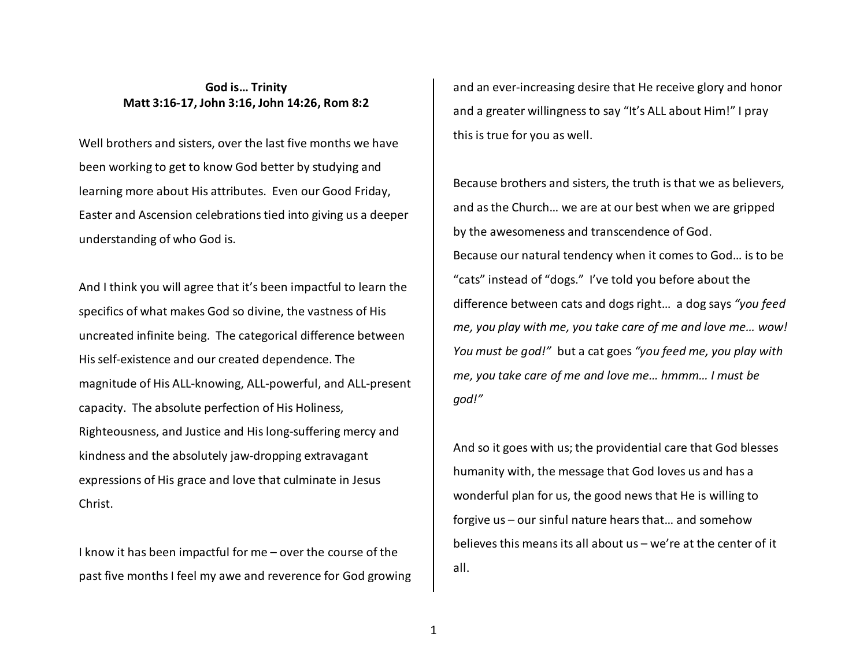## **God is… Trinity Matt 3:16-17, John 3:16, John 14:26, Rom 8:2**

Well brothers and sisters, over the last five months we have been working to get to know God better by studying and learning more about His attributes. Even our Good Friday, Easter and Ascension celebrations tied into giving us a deeper understanding of who God is.

And I think you will agree that it's been impactful to learn the specifics of what makes God so divine, the vastness of His uncreated infinite being. The categorical difference between His self-existence and our created dependence. The magnitude of His ALL-knowing, ALL-powerful, and ALL-present capacity. The absolute perfection of His Holiness, Righteousness, and Justice and His long-suffering mercy and kindness and the absolutely jaw-dropping extravagant expressions of His grace and love that culminate in Jesus Christ.

I know it has been impactful for me – over the course of the past five months I feel my awe and reverence for God growing and an ever-increasing desire that He receive glory and honor and a greater willingness to say "It's ALL about Him!" I pray this is true for you as well.

Because brothers and sisters, the truth is that we as believers, and as the Church… we are at our best when we are gripped by the awesomeness and transcendence of God. Because our natural tendency when it comes to God… is to be "cats" instead of "dogs." I've told you before about the difference between cats and dogs right… a dog says *"you feed me, you play with me, you take care of me and love me… wow! You must be god!"* but a cat goes *"you feed me, you play with me, you take care of me and love me… hmmm… I must be god!"* 

And so it goes with us; the providential care that God blesses humanity with, the message that God loves us and has a wonderful plan for us, the good news that He is willing to forgive us – our sinful nature hears that… and somehow believes this means its all about us – we're at the center of it all.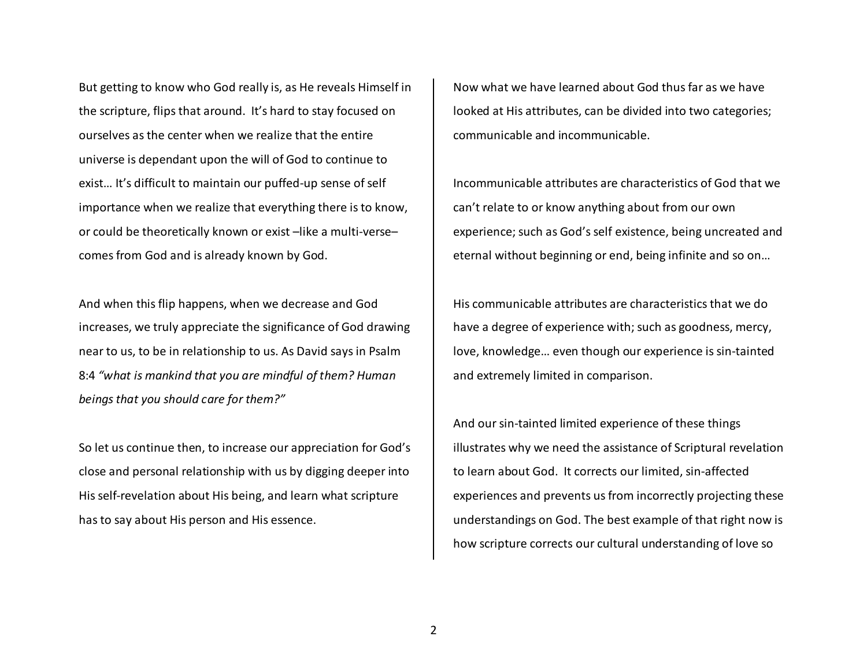But getting to know who God really is, as He reveals Himself in the scripture, flips that around. It's hard to stay focused on ourselves as the center when we realize that the entire universe is dependant upon the will of God to continue to exist… It's difficult to maintain our puffed-up sense of self importance when we realize that everything there is to know, or could be theoretically known or exist –like a multi-verse– comes from God and is already known by God.

And when this flip happens, when we decrease and Godincreases, we truly appreciate the significance of God drawing near to us, to be in relationship to us. As David says in Psalm 8:4 *"what is mankind that you are mindful of them? Human beings that you should care for them?"*

So let us continue then, to increase our appreciation for God's close and personal relationship with us by digging deeper into His self-revelation about His being, and learn what scripture has to say about His person and His essence.

Now what we have learned about God thus far as we have looked at His attributes, can be divided into two categories; communicable and incommunicable.

Incommunicable attributes are characteristics of God that we can't relate to or know anything about from our own experience; such as God's self existence, being uncreated and eternal without beginning or end, being infinite and so on…

His communicable attributes are characteristics that we do have a degree of experience with; such as goodness, mercy, love, knowledge… even though our experience is sin-tainted and extremely limited in comparison.

And our sin-tainted limited experience of these things illustrates why we need the assistance of Scriptural revelation to learn about God. It corrects our limited, sin-affected experiences and prevents us from incorrectly projecting these understandings on God. The best example of that right now is how scripture corrects our cultural understanding of love so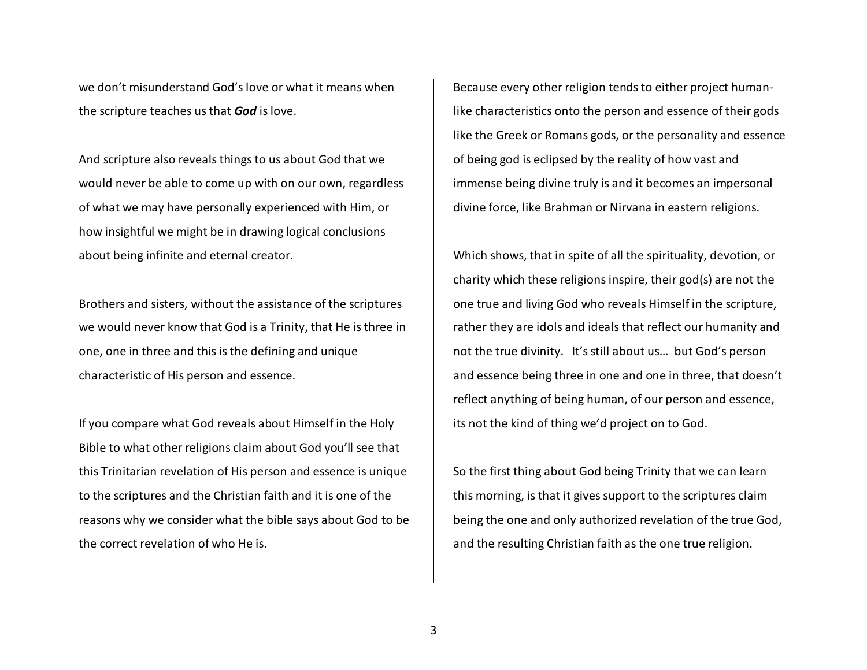we don't misunderstand God's love or what it means when the scripture teaches us that *God* is love.

And scripture also reveals things to us about God that we would never be able to come up with on our own, regardless of what we may have personally experienced with Him, or how insightful we might be in drawing logical conclusions about being infinite and eternal creator.

Brothers and sisters, without the assistance of the scriptures we would never know that God is a Trinity, that He is three in one, one in three and this is the defining and unique characteristic of His person and essence.

If you compare what God reveals about Himself in the Holy Bible to what other religions claim about God you'll see that this Trinitarian revelation of His person and essence is unique to the scriptures and the Christian faith and it is one of the reasons why we consider what the bible says about God to be the correct revelation of who He is.

Because every other religion tends to either project humanlike characteristics onto the person and essence of their gods like the Greek or Romans gods, or the personality and essence of being god is eclipsed by the reality of how vast and immense being divine truly is and it becomes an impersonal divine force, like Brahman or Nirvana in eastern religions.

Which shows, that in spite of all the spirituality, devotion, or charity which these religions inspire, their god(s) are not the one true and living God who reveals Himself in the scripture, rather they are idols and ideals that reflect our humanity and not the true divinity. It's still about us… but God's person and essence being three in one and one in three, that doesn't reflect anything of being human, of our person and essence, its not the kind of thing we'd project on to God.

So the first thing about God being Trinity that we can learn this morning, is that it gives support to the scriptures claim being the one and only authorized revelation of the true God, and the resulting Christian faith as the one true religion.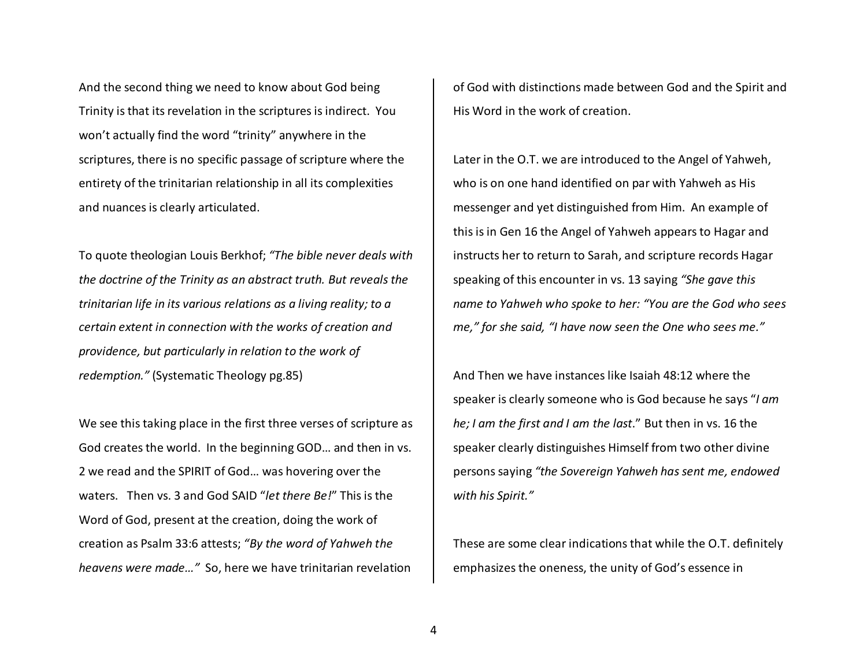And the second thing we need to know about God being Trinity is that its revelation in the scriptures is indirect. You won't actually find the word "trinity" anywhere in the scriptures, there is no specific passage of scripture where the entirety of the trinitarian relationship in all its complexities and nuances is clearly articulated.

To quote theologian Louis Berkhof; *"The bible never deals with the doctrine of the Trinity as an abstract truth. But reveals the trinitarian life in its various relations as a living reality; to a certain extent in connection with the works of creation and providence, but particularly in relation to the work of redemption."* (Systematic Theology pg.85)

We see this taking place in the first three verses of scripture as God creates the world. In the beginning GOD… and then in vs. 2 we read and the SPIRIT of God… was hovering over the waters. Then vs. 3 and God SAID "*let there Be!*" This is the Word of God, present at the creation, doing the work of creation as Psalm 33:6 attests; *"By the word of Yahweh the heavens were made…"* So, here we have trinitarian revelation

of God with distinctions made between God and the Spirit and His Word in the work of creation.

Later in the O.T. we are introduced to the Angel of Yahweh, who is on one hand identified on par with Yahweh as His messenger and yet distinguished from Him. An example of this is in Gen 16 the Angel of Yahweh appears to Hagar and instructs her to return to Sarah, and scripture records Hagar speaking of this encounter in vs. 13 saying *"She gave this name to Yahweh who spoke to her: "You are the God who sees me," for she said, "I have now seen the One who sees me."*

And Then we have instances like Isaiah 48:12 where the speaker is clearly someone who is God because he says "*I am he; I am the first and I am the last*." But then in vs. 16 the speaker clearly distinguishes Himself from two other divine persons saying *"the Sovereign Yahweh has sent me, endowed with his Spirit."*

These are some clear indications that while the O.T. definitely emphasizes the oneness, the unity of God's essence in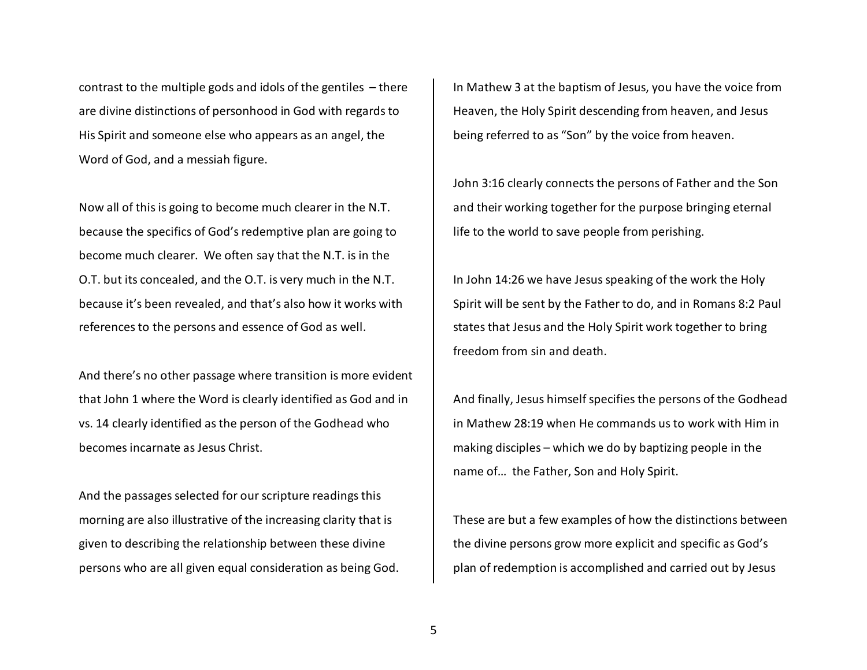contrast to the multiple gods and idols of the gentiles – there are divine distinctions of personhood in God with regards to His Spirit and someone else who appears as an angel, the Word of God, and a messiah figure.

Now all of this is going to become much clearer in the N.T. because the specifics of God's redemptive plan are going to become much clearer. We often say that the N.T. is in the O.T. but its concealed, and the O.T. is very much in the N.T. because it's been revealed, and that's also how it works with references to the persons and essence of God as well.

And there's no other passage where transition is more evident that John 1 where the Word is clearly identified as God and in vs. 14 clearly identified as the person of the Godhead who becomes incarnate as Jesus Christ.

And the passages selected for our scripture readings this morning are also illustrative of the increasing clarity that is given to describing the relationship between these divine persons who are all given equal consideration as being God. In Mathew 3 at the baptism of Jesus, you have the voice from Heaven, the Holy Spirit descending from heaven, and Jesus being referred to as "Son" by the voice from heaven.

John 3:16 clearly connects the persons of Father and the Son and their working together for the purpose bringing eternal life to the world to save people from perishing.

In John 14:26 we have Jesus speaking of the work the Holy Spirit will be sent by the Father to do, and in Romans 8:2 Paul states that Jesus and the Holy Spirit work together to bring freedom from sin and death.

And finally, Jesus himself specifies the persons of the Godhead in Mathew 28:19 when He commands us to work with Him in making disciples – which we do by baptizing people in the name of… the Father, Son and Holy Spirit.

These are but a few examples of how the distinctions between the divine persons grow more explicit and specific as God's plan of redemption is accomplished and carried out by Jesus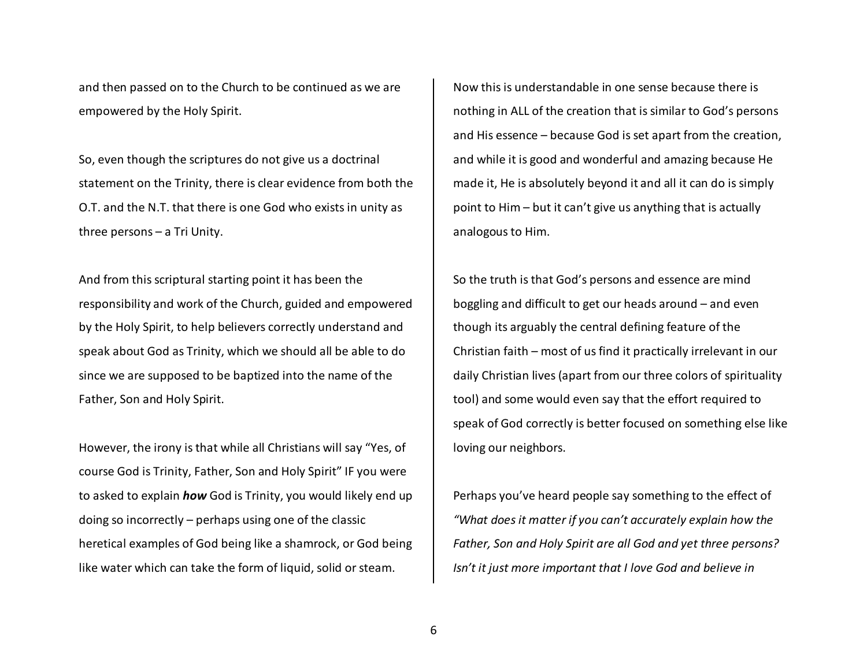and then passed on to the Church to be continued as we are empowered by the Holy Spirit.

So, even though the scriptures do not give us a doctrinal statement on the Trinity, there is clear evidence from both the O.T. and the N.T. that there is one God who exists in unity as three persons – a Tri Unity.

And from this scriptural starting point it has been the responsibility and work of the Church, guided and empowered by the Holy Spirit, to help believers correctly understand and speak about God as Trinity, which we should all be able to do since we are supposed to be baptized into the name of the Father, Son and Holy Spirit.

However, the irony is that while all Christians will say "Yes, of course God is Trinity, Father, Son and Holy Spirit" IF you were to asked to explain *how* God is Trinity, you would likely end up doing so incorrectly – perhaps using one of the classic heretical examples of God being like a shamrock, or God being like water which can take the form of liquid, solid or steam.

Now this is understandable in one sense because there is nothing in ALL of the creation that is similar to God's persons and His essence – because God is set apart from the creation, and while it is good and wonderful and amazing because He made it, He is absolutely beyond it and all it can do is simply point to Him – but it can't give us anything that is actually analogous to Him.

So the truth is that God's persons and essence are mind boggling and difficult to get our heads around – and even though its arguably the central defining feature of the Christian faith – most of us find it practically irrelevant in our daily Christian lives (apart from our three colors of spirituality tool) and some would even say that the effort required to speak of God correctly is better focused on something else like loving our neighbors.

Perhaps you've heard people say something to the effect of *"What does it matter if you can't accurately explain how the Father, Son and Holy Spirit are all God and yet three persons? Isn't it just more important that I love God and believe in*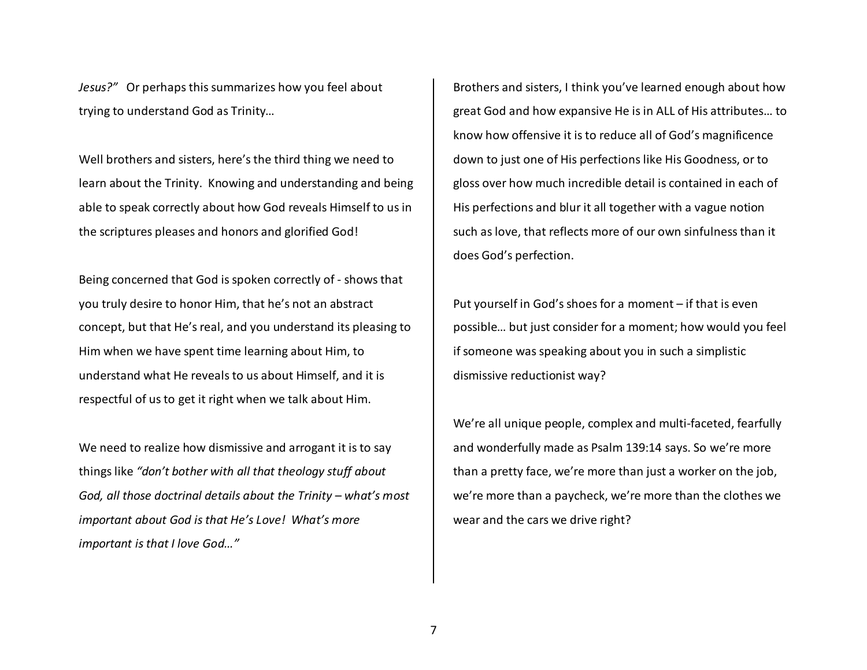*Jesus?"* Or perhaps this summarizes how you feel about trying to understand God as Trinity…

Well brothers and sisters, here's the third thing we need to learn about the Trinity. Knowing and understanding and being able to speak correctly about how God reveals Himself to us in the scriptures pleases and honors and glorified God!

Being concerned that God is spoken correctly of - shows that you truly desire to honor Him, that he's not an abstract concept, but that He's real, and you understand its pleasing to Him when we have spent time learning about Him, to understand what He reveals to us about Himself, and it is respectful of us to get it right when we talk about Him.

We need to realize how dismissive and arrogant it is to say things like *"don't bother with all that theology stuff about God, all those doctrinal details about the Trinity – what's most important about God is that He's Love! What's more important is that I love God…"* 

Brothers and sisters, I think you've learned enough about how great God and how expansive He is in ALL of His attributes… to know how offensive it is to reduce all of God's magnificence down to just one of His perfections like His Goodness, or to gloss over how much incredible detail is contained in each of His perfections and blur it all together with a vague notion such as love, that reflects more of our own sinfulness than it does God's perfection.

Put yourself in God's shoes for a moment – if that is even possible… but just consider for a moment; how would you feel if someone was speaking about you in such a simplistic dismissive reductionist way?

We're all unique people, complex and multi-faceted, fearfully and wonderfully made as Psalm 139:14 says. So we're more than a pretty face, we're more than just a worker on the job, we're more than a paycheck, we're more than the clothes we wear and the cars we drive right?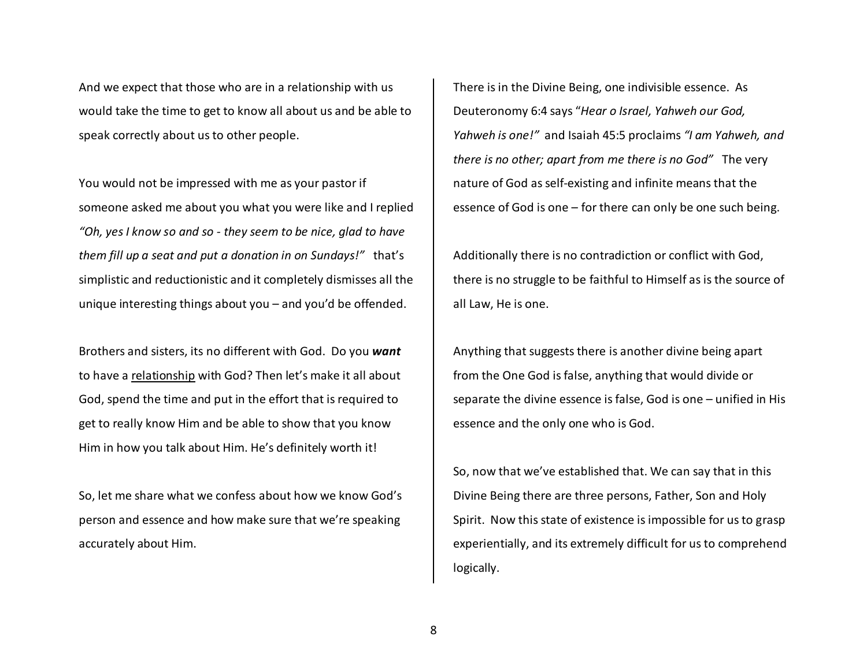And we expect that those who are in a relationship with us would take the time to get to know all about us and be able to speak correctly about us to other people.

You would not be impressed with me as your pastor if someone asked me about you what you were like and I replied *"Oh, yes I know so and so - they seem to be nice, glad to have them fill up a seat and put a donation in on Sundays!"* that's simplistic and reductionistic and it completely dismisses all the unique interesting things about you – and you'd be offended.

Brothers and sisters, its no different with God. Do you *want*to have a relationship with God? Then let's make it all about God, spend the time and put in the effort that is required to get to really know Him and be able to show that you know Him in how you talk about Him. He's definitely worth it!

So, let me share what we confess about how we know God's person and essence and how make sure that we're speaking accurately about Him.

There is in the Divine Being, one indivisible essence. As Deuteronomy 6:4 says "*Hear o Israel, Yahweh our God, Yahweh is one!"* and Isaiah 45:5 proclaims *"I am Yahweh, and there is no other; apart from me there is no God"* The very nature of God as self-existing and infinite means that the essence of God is one – for there can only be one such being.

Additionally there is no contradiction or conflict with God, there is no struggle to be faithful to Himself as is the source of all Law, He is one.

Anything that suggests there is another divine being apart from the One God is false, anything that would divide or separate the divine essence is false, God is one – unified in His essence and the only one who is God.

So, now that we've established that. We can say that in this Divine Being there are three persons, Father, Son and Holy Spirit. Now this state of existence is impossible for us to grasp experientially, and its extremely difficult for us to comprehend logically.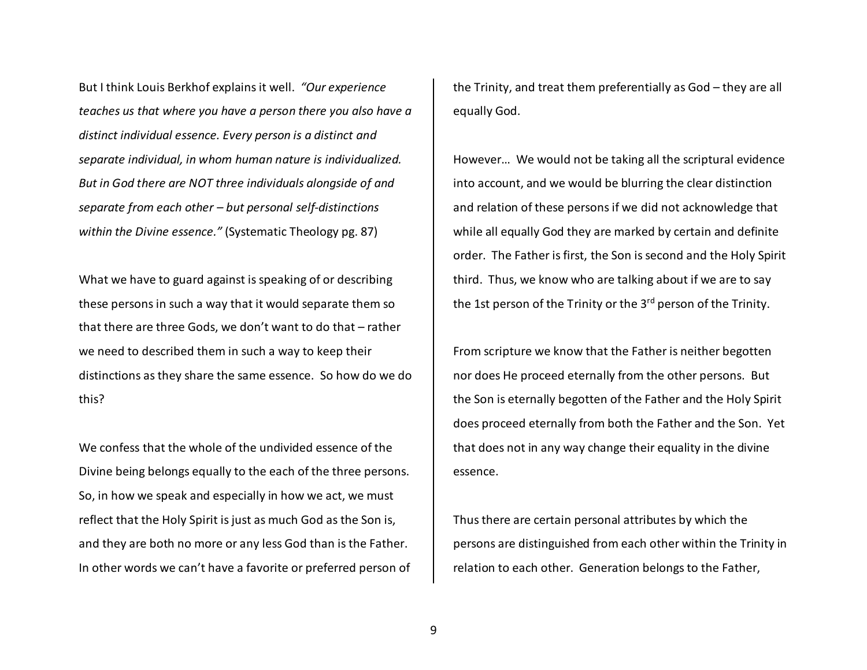But I think Louis Berkhof explains it well. *"Our experience teaches us that where you have a person there you also have a distinct individual essence. Every person is a distinct and separate individual, in whom human nature is individualized. But in God there are NOT three individuals alongside of and separate from each other – but personal self-distinctions within the Divine essence."* (Systematic Theology pg. 87)

What we have to guard against is speaking of or describing these persons in such a way that it would separate them so that there are three Gods, we don't want to do that – rather we need to described them in such a way to keep their distinctions as they share the same essence. So how do we do this?

We confess that the whole of the undivided essence of the Divine being belongs equally to the each of the three persons. So, in how we speak and especially in how we act, we must reflect that the Holy Spirit is just as much God as the Son is, and they are both no more or any less God than is the Father. In other words we can't have a favorite or preferred person of the Trinity, and treat them preferentially as God – they are all equally God.

However… We would not be taking all the scriptural evidence into account, and we would be blurring the clear distinction and relation of these persons if we did not acknowledge that while all equally God they are marked by certain and definite order. The Father is first, the Son is second and the Holy Spirit third. Thus, we know who are talking about if we are to say the 1st person of the Trinity or the 3<sup>rd</sup> person of the Trinity.

From scripture we know that the Father is neither begotten nor does He proceed eternally from the other persons. But the Son is eternally begotten of the Father and the Holy Spirit does proceed eternally from both the Father and the Son. Yet that does not in any way change their equality in the divine essence.

Thus there are certain personal attributes by which the persons are distinguished from each other within the Trinity in relation to each other. Generation belongs to the Father,

9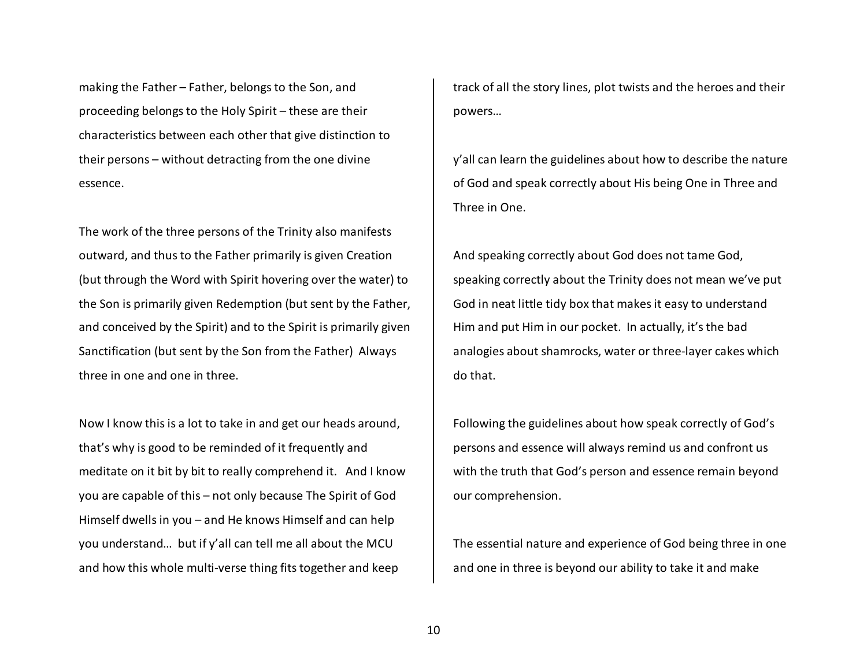making the Father – Father, belongs to the Son, and proceeding belongs to the Holy Spirit – these are their characteristics between each other that give distinction to their persons – without detracting from the one divine essence.

The work of the three persons of the Trinity also manifests outward, and thus to the Father primarily is given Creation (but through the Word with Spirit hovering over the water) to the Son is primarily given Redemption (but sent by the Father, and conceived by the Spirit) and to the Spirit is primarily given Sanctification (but sent by the Son from the Father) Always three in one and one in three.

Now I know this is a lot to take in and get our heads around, that's why is good to be reminded of it frequently and meditate on it bit by bit to really comprehend it. And I know you are capable of this – not only because The Spirit of God Himself dwells in you – and He knows Himself and can help you understand… but if y'all can tell me all about the MCU and how this whole multi-verse thing fits together and keep

track of all the story lines, plot twists and the heroes and their powers…

y'all can learn the guidelines about how to describe the nature of God and speak correctly about His being One in Three and Three in One.

And speaking correctly about God does not tame God, speaking correctly about the Trinity does not mean we've put God in neat little tidy box that makes it easy to understand Him and put Him in our pocket. In actually, it's the bad analogies about shamrocks, water or three-layer cakes which do that.

Following the guidelines about how speak correctly of God's persons and essence will always remind us and confront us with the truth that God's person and essence remain beyond our comprehension.

The essential nature and experience of God being three in one and one in three is beyond our ability to take it and make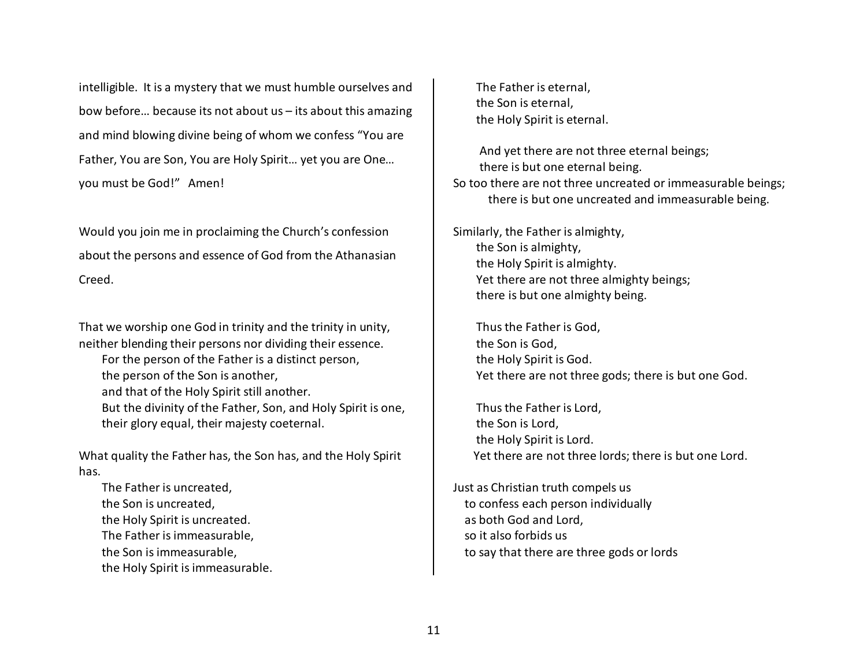intelligible. It is a mystery that we must humble ourselves and bow before… because its not about us – its about this amazing and mind blowing divine being of whom we confess "You are Father, You are Son, You are Holy Spirit… yet you are One… you must be God!" Amen!

Would you join me in proclaiming the Church's confession about the persons and essence of God from the Athanasian Creed.

That we worship one God in trinity and the trinity in unity, neither blending their persons nor dividing their essence.

- For the person of the Father is a distinct person,
- the person of the Son is another,
- and that of the Holy Spirit still another.
- But the divinity of the Father, Son, and Holy Spirit is one, their glory equal, their majesty coeternal.

What quality the Father has, the Son has, and the Holy Spirit has.

 The Father is uncreated, the Son is uncreated, the Holy Spirit is uncreated. The Father is immeasurable,

- the Son is immeasurable,
- the Holy Spirit is immeasurable.

 The Father is eternal, the Son is eternal, the Holy Spirit is eternal.

 And yet there are not three eternal beings; there is but one eternal being. So too there are not three uncreated or immeasurable beings; there is but one uncreated and immeasurable being.

Similarly, the Father is almighty, the Son is almighty, the Holy Spirit is almighty. Yet there are not three almighty beings; there is but one almighty being.

 Thus the Father is God, the Son is God, the Holy Spirit is God. Yet there are not three gods; there is but one God.

 Thus the Father is Lord, the Son is Lord, the Holy Spirit is Lord. Yet there are not three lords; there is but one Lord.

Just as Christian truth compels us to confess each person individually as both God and Lord, so it also forbids us to say that there are three gods or lords